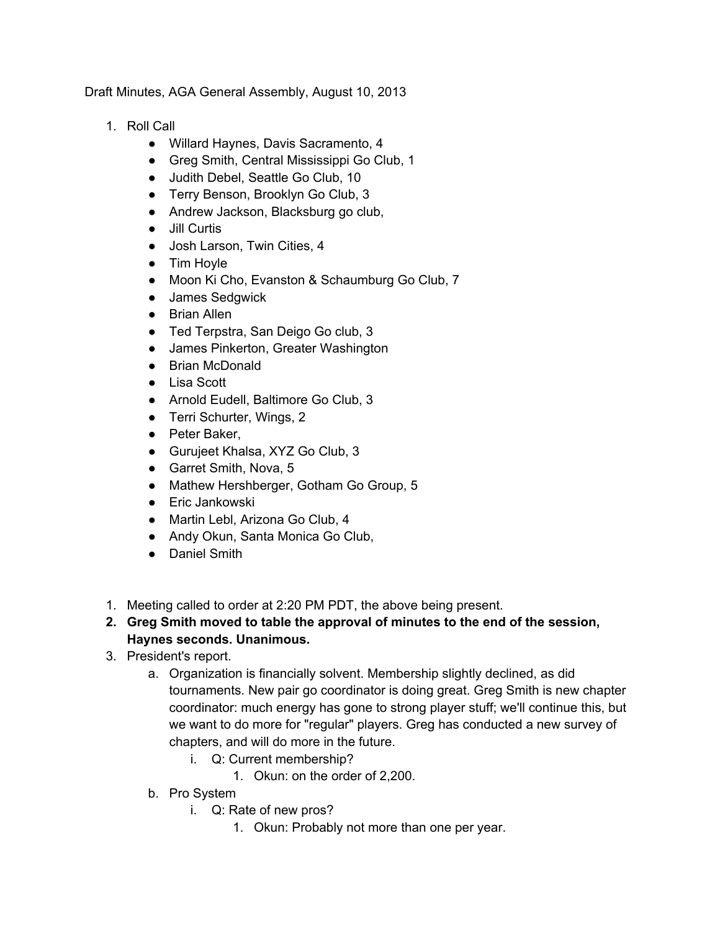Draft Minutes, AGA General Assembly, August 10, 2013

- 1. Roll Call
	- Willard Haynes, Davis Sacramento, 4
	- Greg Smith, Central Mississippi Go Club, 1
	- Judith Debel, Seattle Go Club, 10
	- Terry Benson, Brooklyn Go Club, 3
	- Andrew Jackson, Blacksburg go club,
	- Jill Curtis
	- Josh Larson, Twin Cities, 4
	- Tim Hoyle
	- Moon Ki Cho, Evanston & Schaumburg Go Club, 7
	- James Sedgwick
	- Brian Allen
	- Ted Terpstra, San Deigo Go club, 3
	- James Pinkerton, Greater Washington
	- Brian McDonald
	- Lisa Scott
	- Arnold Eudell, Baltimore Go Club, 3
	- Terri Schurter, Wings, 2
	- Peter Baker,
	- Gurujeet Khalsa, XYZ Go Club, 3
	- Garret Smith, Nova, 5
	- Mathew Hershberger, Gotham Go Group, 5
	- Eric Jankowski
	- Martin Lebl, Arizona Go Club, 4
	- Andy Okun, Santa Monica Go Club,
	- Daniel Smith
- 1. Meeting called to order at 2:20 PM PDT, the above being present.
- **2. Greg Smith moved to table the approval of minutes to the end of the session, Haynes seconds. Unanimous.**
- 3. President's report.
	- a. Organization is financially solvent. Membership slightly declined, as did tournaments. New pair go coordinator is doing great. Greg Smith is new chapter coordinator: much energy has gone to strong player stuff; we'll continue this, but we want to do more for "regular" players. Greg has conducted a new survey of chapters, and will do more in the future.
		- i. Q: Current membership?
			- 1. Okun: on the order of 2,200.
	- b. Pro System
		- i. Q: Rate of new pros?
			- 1. Okun: Probably not more than one per year.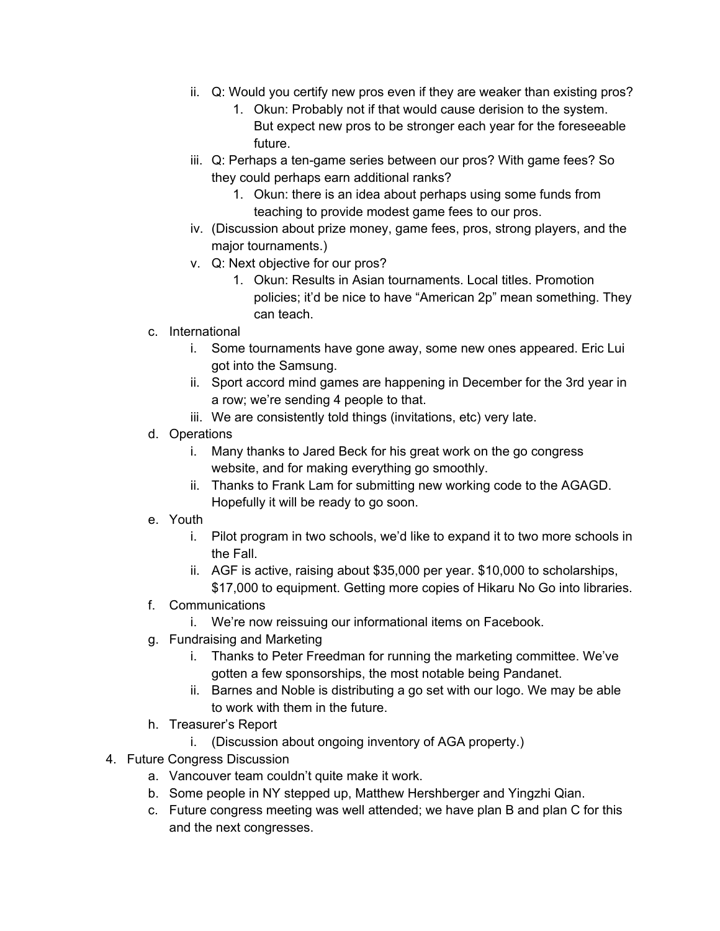- ii. Q: Would you certify new pros even if they are weaker than existing pros?
	- 1. Okun: Probably not if that would cause derision to the system. But expect new pros to be stronger each year for the foreseeable future.
- iii. Q: Perhaps a ten-game series between our pros? With game fees? So they could perhaps earn additional ranks?
	- 1. Okun: there is an idea about perhaps using some funds from teaching to provide modest game fees to our pros.
- iv. (Discussion about prize money, game fees, pros, strong players, and the major tournaments.)
- v. Q: Next objective for our pros?
	- 1. Okun: Results in Asian tournaments. Local titles. Promotion policies; it'd be nice to have "American 2p" mean something. They can teach.
- c. International
	- i. Some tournaments have gone away, some new ones appeared. Eric Lui got into the Samsung.
	- ii. Sport accord mind games are happening in December for the 3rd year in a row; we're sending 4 people to that.
	- iii. We are consistently told things (invitations, etc) very late.
- d. Operations
	- i. Many thanks to Jared Beck for his great work on the go congress website, and for making everything go smoothly.
	- ii. Thanks to Frank Lam for submitting new working code to the AGAGD. Hopefully it will be ready to go soon.
- e. Youth
	- i. Pilot program in two schools, we'd like to expand it to two more schools in the Fall.
	- ii. AGF is active, raising about \$35,000 per year. \$10,000 to scholarships, \$17,000 to equipment. Getting more copies of Hikaru No Go into libraries.
- f. Communications
	- i. We're now reissuing our informational items on Facebook.
- g. Fundraising and Marketing
	- i. Thanks to Peter Freedman for running the marketing committee. We've gotten a few sponsorships, the most notable being Pandanet.
	- ii. Barnes and Noble is distributing a go set with our logo. We may be able to work with them in the future.
- h. Treasurer's Report
	- i. (Discussion about ongoing inventory of AGA property.)
- 4. Future Congress Discussion
	- a. Vancouver team couldn't quite make it work.
	- b. Some people in NY stepped up, Matthew Hershberger and Yingzhi Qian.
	- c. Future congress meeting was well attended; we have plan B and plan C for this and the next congresses.